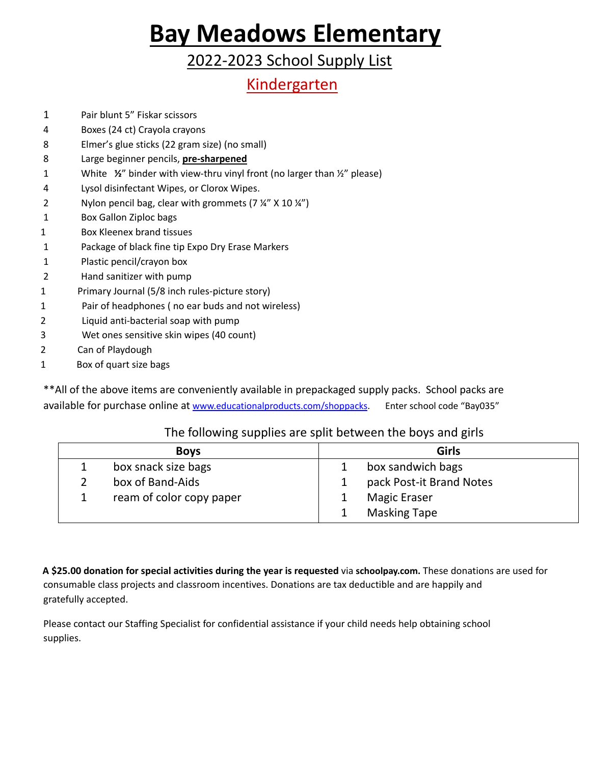### 2022-2023 School Supply List

### Kindergarten

- 1 Pair blunt 5" Fiskar scissors
- 4 Boxes (24 ct) Crayola crayons
- 8 Elmer's glue sticks (22 gram size) (no small)
- 8 Large beginner pencils, **pre-sharpened**
- 1 White **½**" binder with view-thru vinyl front (no larger than ½" please)
- 4 Lysol disinfectant Wipes, or Clorox Wipes.
- 2 Nylon pencil bag, clear with grommets  $(7\frac{1}{4}$ " X 10 $\frac{1}{4}$ ")
- 1 Box Gallon Ziploc bags
- 1 Box Kleenex brand tissues
- 1 Package of black fine tip Expo Dry Erase Markers
- 1 Plastic pencil/crayon box
- 2 Hand sanitizer with pump
- 1 Primary Journal (5/8 inch rules-picture story)
- 1 Pair of headphones ( no ear buds and not wireless)
- 2 Liquid anti-bacterial soap with pump
- 3 Wet ones sensitive skin wipes (40 count)
- 2 Can of Playdough
- 1 Box of quart size bags

\*\*All of the above items are conveniently available in prepackaged supply packs. School packs are available for purchase online at [www.educationalproducts.com/shoppacks.](http://www.educationalproducts.com/shoppacks) Enter school code "Bay035"

### The following supplies are split between the boys and girls

| <b>Boys</b> |                          | <b>Girls</b> |                          |
|-------------|--------------------------|--------------|--------------------------|
|             | box snack size bags      |              | box sandwich bags        |
|             | box of Band-Aids         |              | pack Post-it Brand Notes |
|             | ream of color copy paper |              | <b>Magic Eraser</b>      |
|             |                          |              | <b>Masking Tape</b>      |

**A \$25.00 donation for special activities during the year is requested** via **schoolpay.com.** These donations are used for consumable class projects and classroom incentives. Donations are tax deductible and are happily and gratefully accepted.

Please contact our Staffing Specialist for confidential assistance if your child needs help obtaining school supplies.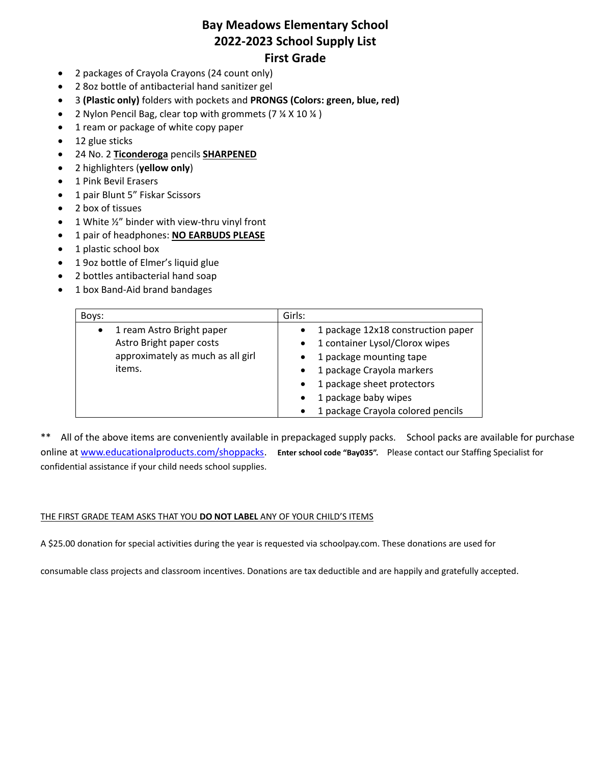### **Bay Meadows Elementary School 2022-2023 School Supply List First Grade**

- 2 packages of Crayola Crayons (24 count only)
- 2 8oz bottle of antibacterial hand sanitizer gel
- 3 **(Plastic only)** folders with pockets and **PRONGS (Colors: green, blue, red)**
- 2 Nylon Pencil Bag, clear top with grommets (7 % X 10 %)
- 1 ream or package of white copy paper
- 12 glue sticks
- 24 No. 2 **Ticonderoga** pencils **SHARPENED**
- 2 highlighters (**yellow only**)
- 1 Pink Bevil Erasers
- 1 pair Blunt 5" Fiskar Scissors
- 2 box of tissues
- $\bullet$  1 White ½" binder with view-thru vinyl front
- 1 pair of headphones: **NO EARBUDS PLEASE**
- 1 plastic school box
- 1 9oz bottle of Elmer's liquid glue
- 2 bottles antibacterial hand soap
- 1 box Band-Aid brand bandages

| Boys:                                  | Girls:                                          |
|----------------------------------------|-------------------------------------------------|
| 1 ream Astro Bright paper<br>$\bullet$ | 1 package 12x18 construction paper<br>$\bullet$ |
| Astro Bright paper costs               | 1 container Lysol/Clorox wipes<br>$\bullet$     |
| approximately as much as all girl      | 1 package mounting tape<br>$\bullet$            |
| items.                                 | 1 package Crayola markers<br>$\bullet$          |
|                                        | 1 package sheet protectors<br>$\bullet$         |
|                                        | 1 package baby wipes<br>$\bullet$               |
|                                        | 1 package Crayola colored pencils<br>$\bullet$  |

\*\* All of the above items are conveniently available in prepackaged supply packs. School packs are available for purchase online a[t www.educationalproducts.com/shoppacks.](http://www.educationalproducts.com/shoppacks) **Enter school code "Bay035".** Please contact our Staffing Specialist for confidential assistance if your child needs school supplies.

#### THE FIRST GRADE TEAM ASKS THAT YOU **DO NOT LABEL** ANY OF YOUR CHILD'S ITEMS

A \$25.00 donation for special activities during the year is requested via schoolpay.com. These donations are used for

consumable class projects and classroom incentives. Donations are tax deductible and are happily and gratefully accepted.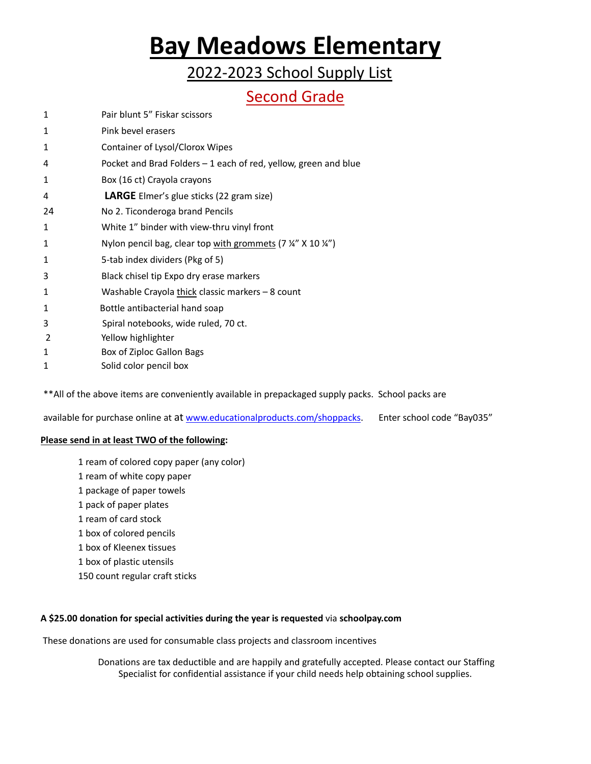2022-2023 School Supply List

### Second Grade

- 1 Pair blunt 5" Fiskar scissors
- 1 Pink bevel erasers
- 1 Container of Lysol/Clorox Wipes
- 4 Pocket and Brad Folders 1 each of red, yellow, green and blue
- 1 Box (16 ct) Crayola crayons
- 4 **LARGE** Elmer's glue sticks (22 gram size)
- 24 No 2. Ticonderoga brand Pencils
- 1 White 1" binder with view-thru vinyl front
- 1 Nylon pencil bag, clear top with grommets (7 ¼" X 10 ¼")
- 1 5-tab index dividers (Pkg of 5)
- 3 Black chisel tip Expo dry erase markers
- 1 Washable Crayola thick classic markers 8 count
- 1 Bottle antibacterial hand soap
- 3 Spiral notebooks, wide ruled, 70 ct.
- 2 Yellow highlighter
- 1 Box of Ziploc Gallon Bags
- 1 Solid color pencil box

\*\*All of the above items are conveniently available in prepackaged supply packs. School packs are

available for purchase online at at [www.educationalproducts.com/shoppacks.](http://www.educationalproducts.com/shoppacks) Enter school code "Bay035"

#### **Please send in at least TWO of the following:**

- 1 ream of colored copy paper (any color)
- 1 ream of white copy paper
- 1 package of paper towels
- 1 pack of paper plates
- 1 ream of card stock
- 1 box of colored pencils
- 1 box of Kleenex tissues
- 1 box of plastic utensils
- 150 count regular craft sticks

#### **A \$25.00 donation for special activities during the year is requested** via **schoolpay.com**

These donations are used for consumable class projects and classroom incentives

Donations are tax deductible and are happily and gratefully accepted. Please contact our Staffing Specialist for confidential assistance if your child needs help obtaining school supplies.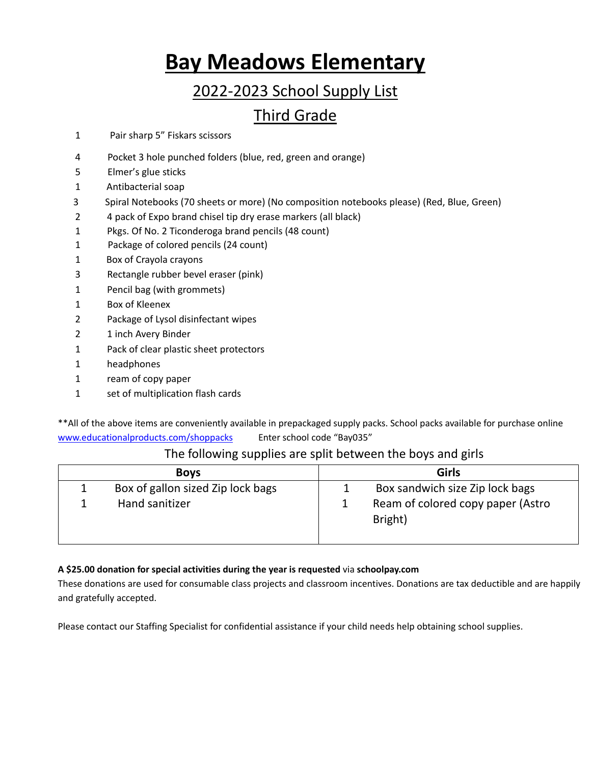# 2022-2023 School Supply List

## Third Grade

- 1 Pair sharp 5" Fiskars scissors
- 4 Pocket 3 hole punched folders (blue, red, green and orange)
- 5 Elmer's glue sticks
- 1 Antibacterial soap
- 3 Spiral Notebooks (70 sheets or more) (No composition notebooks please) (Red, Blue, Green)
- 2 4 pack of Expo brand chisel tip dry erase markers (all black)
- 1 Pkgs. Of No. 2 Ticonderoga brand pencils (48 count)
- 1 Package of colored pencils (24 count)
- 1 Box of Crayola crayons
- 3 Rectangle rubber bevel eraser (pink)
- 1 Pencil bag (with grommets)
- 1 Box of Kleenex
- 2 Package of Lysol disinfectant wipes
- 2 1 inch Avery Binder
- 1 Pack of clear plastic sheet protectors
- 1 headphones
- 1 ream of copy paper
- 1 set of multiplication flash cards

\*\*All of the above items are conveniently available in prepackaged supply packs. School packs available for purchase online [www.educationalproducts.com/shoppacks](http://www.educationalproducts.com/shoppacks) Enter school code "Bay035"

### The following supplies are split between the boys and girls

| <b>Boys</b> |                                   | <b>Girls</b> |                                              |
|-------------|-----------------------------------|--------------|----------------------------------------------|
|             | Box of gallon sized Zip lock bags |              | Box sandwich size Zip lock bags              |
|             | Hand sanitizer                    |              | Ream of colored copy paper (Astro<br>Bright) |

#### **A \$25.00 donation for special activities during the year is requested** via **schoolpay.com**

These donations are used for consumable class projects and classroom incentives. Donations are tax deductible and are happily and gratefully accepted.

Please contact our Staffing Specialist for confidential assistance if your child needs help obtaining school supplies.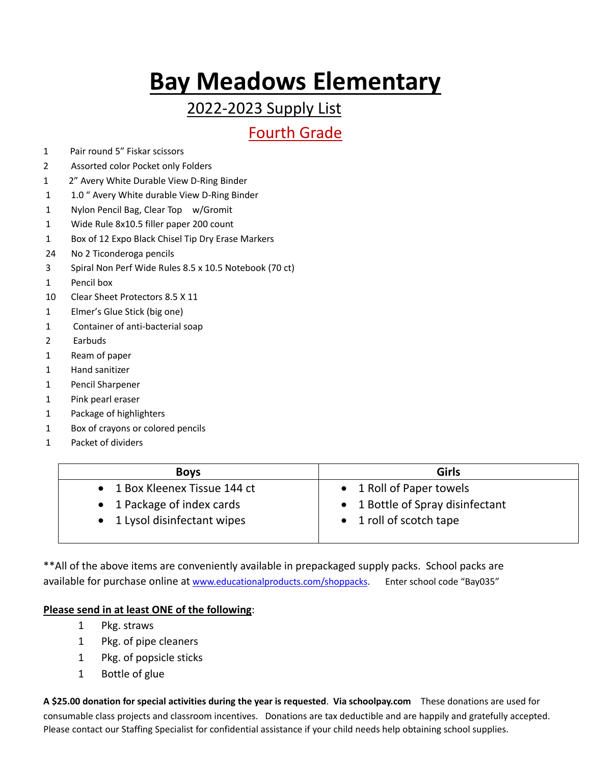## 2022-2023 Supply List

## Fourth Grade

- 1 Pair round 5" Fiskar scissors
- 2 Assorted color Pocket only Folders
- 1 2" Avery White Durable View D-Ring Binder
- 1 1.0 " Avery White durable View D-Ring Binder
- 1 Nylon Pencil Bag, Clear Top w/Gromit
- 1 Wide Rule 8x10.5 filler paper 200 count
- 1 Box of 12 Expo Black Chisel Tip Dry Erase Markers
- 24 No 2 Ticonderoga pencils
- 3 Spiral Non Perf Wide Rules 8.5 x 10.5 Notebook (70 ct)
- 1 Pencil box
- 10 Clear Sheet Protectors 8.5 X 11
- 1 Elmer's Glue Stick (big one)
- 1 Container of anti-bacterial soap
- 2 Earbuds
- 1 Ream of paper
- 1 Hand sanitizer
- 1 Pencil Sharpener
- 1 Pink pearl eraser
- 1 Package of highlighters
- 1 Box of crayons or colored pencils
- 1 Packet of dividers

| <b>Boys</b>                   | <b>Girls</b>                     |
|-------------------------------|----------------------------------|
| • 1 Box Kleenex Tissue 144 ct | 1 Roll of Paper towels           |
| • 1 Package of index cards    | • 1 Bottle of Spray disinfectant |
| • 1 Lysol disinfectant wipes  | • 1 roll of scotch tape          |
|                               |                                  |

\*\*All of the above items are conveniently available in prepackaged supply packs. School packs are available for purchase online at [www.educationalproducts.com/shoppacks.](http://www.educationalproducts.com/shoppacks) Enter school code "Bay035"

#### **Please send in at least ONE of the following**:

- 1 Pkg. straws
- 1 Pkg. of pipe cleaners
- 1 Pkg. of popsicle sticks
- 1 Bottle of glue

**A \$25.00 donation for special activities during the year is requested**. **Via schoolpay.com** These donations are used for consumable class projects and classroom incentives. Donations are tax deductible and are happily and gratefully accepted. Please contact our Staffing Specialist for confidential assistance if your child needs help obtaining school supplies.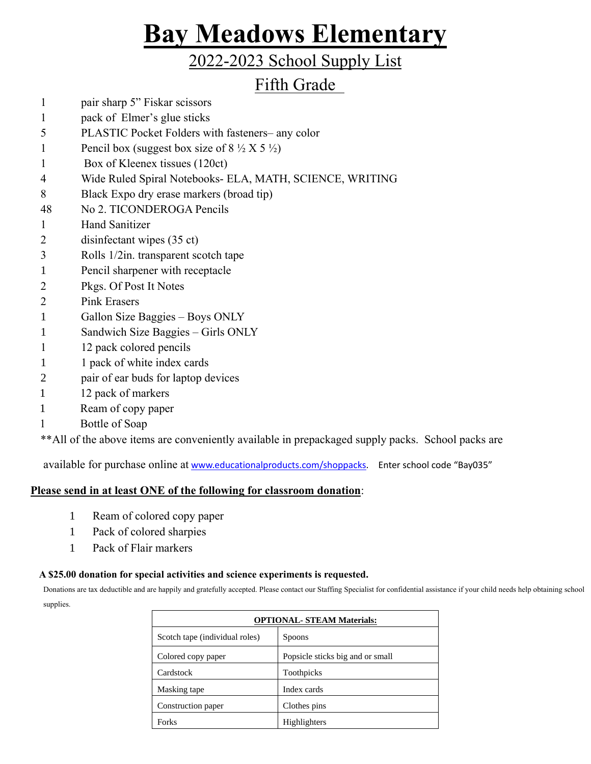## 2022-2023 School Supply List

## Fifth Grade

- 1 pair sharp 5" Fiskar scissors
- 1 pack of Elmer's glue sticks
- 5 PLASTIC Pocket Folders with fasteners– any color
- 1 Pencil box (suggest box size of  $8\frac{1}{2}$  X 5  $\frac{1}{2}$ )
- 1 Box of Kleenex tissues (120ct)
- 4 Wide Ruled Spiral Notebooks- ELA, MATH, SCIENCE, WRITING
- 8 Black Expo dry erase markers (broad tip)
- 48 No 2. TICONDEROGA Pencils
- 1 Hand Sanitizer
- 2 disinfectant wipes (35 ct)
- 3 Rolls 1/2in. transparent scotch tape
- 1 Pencil sharpener with receptacle
- 2 Pkgs. Of Post It Notes
- 2 Pink Erasers
- 1 Gallon Size Baggies Boys ONLY
- 1 Sandwich Size Baggies Girls ONLY
- 1 12 pack colored pencils
- 1 1 pack of white index cards
- 2 pair of ear buds for laptop devices
- 1 12 pack of markers
- 1 Ream of copy paper
- 1 Bottle of Soap

\*\*All of the above items are conveniently available in prepackaged supply packs. School packs are

available for purchase online at [www.educationalproducts.com/shoppacks.](http://www.educationalproducts.com/shoppacks) Enter school code "Bay035"

### **Please send in at least ONE of the following for classroom donation**:

- 1 Ream of colored copy paper
- 1 Pack of colored sharpies
- 1 Pack of Flair markers

#### **A \$25.00 donation for special activities and science experiments is requested.**

Donations are tax deductible and are happily and gratefully accepted. Please contact our Staffing Specialist for confidential assistance if your child needs help obtaining school supplies.

| <b>OPTIONAL- STEAM Materials:</b> |                                  |  |
|-----------------------------------|----------------------------------|--|
| Scotch tape (individual roles)    | <b>Spoons</b>                    |  |
| Colored copy paper                | Popsicle sticks big and or small |  |
| Cardstock                         | Toothpicks                       |  |
| Masking tape                      | Index cards                      |  |
| Construction paper                | Clothes pins                     |  |
| <b>Forks</b>                      | Highlighters                     |  |